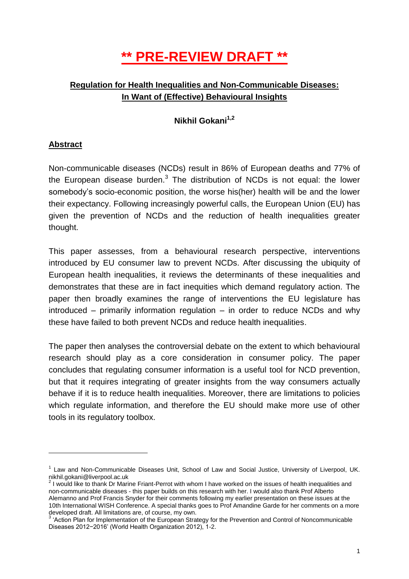# **\*\* PRE-REVIEW DRAFT \*\***

## **Regulation for Health Inequalities and Non-Communicable Diseases: In Want of (Effective) Behavioural Insights**

**Nikhil Gokani1,2**

## **Abstract**

 $\overline{a}$ 

Non-communicable diseases (NCDs) result in 86% of European deaths and 77% of the European disease burden.<sup>3</sup> The distribution of NCDs is not equal: the lower somebody's socio-economic position, the worse his(her) health will be and the lower their expectancy. Following increasingly powerful calls, the European Union (EU) has given the prevention of NCDs and the reduction of health inequalities greater thought.

This paper assesses, from a behavioural research perspective, interventions introduced by EU consumer law to prevent NCDs. After discussing the ubiquity of European health inequalities, it reviews the determinants of these inequalities and demonstrates that these are in fact inequities which demand regulatory action. The paper then broadly examines the range of interventions the EU legislature has introduced – primarily information regulation – in order to reduce NCDs and why these have failed to both prevent NCDs and reduce health inequalities.

The paper then analyses the controversial debate on the extent to which behavioural research should play as a core consideration in consumer policy. The paper concludes that regulating consumer information is a useful tool for NCD prevention, but that it requires integrating of greater insights from the way consumers actually behave if it is to reduce health inequalities. Moreover, there are limitations to policies which regulate information, and therefore the EU should make more use of other tools in its regulatory toolbox.

<sup>&</sup>lt;sup>1</sup> Law and Non-Communicable Diseases Unit, School of Law and Social Justice, University of Liverpool, UK. nikhil.gokani@liverpool.ac.uk

 $2$  I would like to thank Dr Marine Friant-Perrot with whom I have worked on the issues of health inequalities and non-communicable diseases - this paper builds on this research with her. I would also thank Prof Alberto Alemanno and Prof Francis Snyder for their comments following my earlier presentation on these issues at the 10th International WISH Conference. A special thanks goes to Prof Amandine Garde for her comments on a more developed draft. All limitations are, of course, my own.

<sup>&</sup>lt;sup>3</sup> 'Action Plan for Implementation of the European Strategy for the Prevention and Control of Noncommunicable Diseases 2012−2016' (World Health Organization 2012), 1-2.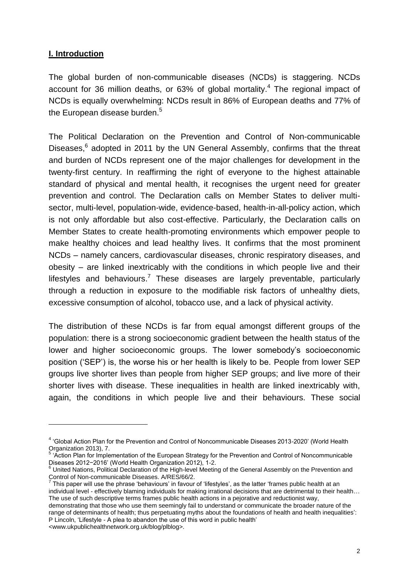#### **I. Introduction**

 $\overline{a}$ 

The global burden of non-communicable diseases (NCDs) is staggering. NCDs account for 36 million deaths, or 63% of global mortality.<sup>4</sup> The regional impact of NCDs is equally overwhelming: NCDs result in 86% of European deaths and 77% of the European disease burden. $5$ 

The Political Declaration on the Prevention and Control of Non-communicable Diseases,<sup>6</sup> adopted in 2011 by the UN General Assembly, confirms that the threat and burden of NCDs represent one of the major challenges for development in the twenty-first century. In reaffirming the right of everyone to the highest attainable standard of physical and mental health, it recognises the urgent need for greater prevention and control. The Declaration calls on Member States to deliver multisector, multi-level, population-wide, evidence-based, health-in-all-policy action, which is not only affordable but also cost-effective. Particularly, the Declaration calls on Member States to create health-promoting environments which empower people to make healthy choices and lead healthy lives. It confirms that the most prominent NCDs – namely cancers, cardiovascular diseases, chronic respiratory diseases, and obesity – are linked inextricably with the conditions in which people live and their lifestyles and behaviours.<sup>7</sup> These diseases are largely preventable, particularly through a reduction in exposure to the modifiable risk factors of unhealthy diets, excessive consumption of alcohol, tobacco use, and a lack of physical activity.

The distribution of these NCDs is far from equal amongst different groups of the population: there is a strong socioeconomic gradient between the health status of the lower and higher socioeconomic groups. The lower somebody's socioeconomic position ('SEP') is, the worse his or her health is likely to be. People from lower SEP groups live shorter lives than people from higher SEP groups; and live more of their shorter lives with disease. These inequalities in health are linked inextricably with, again, the conditions in which people live and their behaviours. These social

<sup>&</sup>lt;sup>4</sup> 'Global Action Plan for the Prevention and Control of Noncommunicable Diseases 2013-2020' (World Health Organization 2013), 7.

<sup>5</sup> 'Action Plan for Implementation of the European Strategy for the Prevention and Control of Noncommunicable Diseases 2012−2016' (World Health Organization 2012), 1-2.

United Nations, Political Declaration of the High-level Meeting of the General Assembly on the Prevention and

Control of Non-communicable Diseases. A/RES/66/2.<br><sup>7</sup> This paper will use the phrase 'behaviours' in favour of 'lifestyles', as the latter 'frames public health at an individual level - effectively blaming individuals for making irrational decisions that are detrimental to their health... The use of such descriptive terms frames public health actions in a pejorative and reductionist way,

demonstrating that those who use them seemingly fail to understand or communicate the broader nature of the range of determinants of health; thus perpetuating myths about the foundations of health and health inequalities': P Lincoln, 'Lifestyle - A plea to abandon the use of this word in public health' <www.ukpublichealthnetwork.org.uk/blog/plblog>.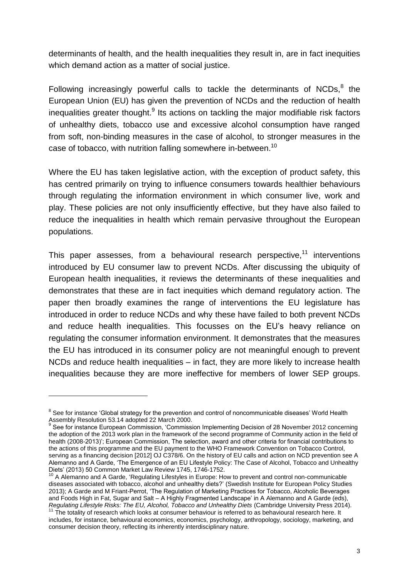determinants of health, and the health inequalities they result in, are in fact inequities which demand action as a matter of social justice.

Following increasingly powerful calls to tackle the determinants of NCDs, $<sup>8</sup>$  the</sup> European Union (EU) has given the prevention of NCDs and the reduction of health inequalities greater thought. $9$  Its actions on tackling the major modifiable risk factors of unhealthy diets, tobacco use and excessive alcohol consumption have ranged from soft, non-binding measures in the case of alcohol, to stronger measures in the case of tobacco, with nutrition falling somewhere in-between.<sup>10</sup>

Where the EU has taken legislative action, with the exception of product safety, this has centred primarily on trying to influence consumers towards healthier behaviours through regulating the information environment in which consumer live, work and play. These policies are not only insufficiently effective, but they have also failed to reduce the inequalities in health which remain pervasive throughout the European populations.

This paper assesses, from a behavioural research perspective.<sup>11</sup> interventions introduced by EU consumer law to prevent NCDs. After discussing the ubiquity of European health inequalities, it reviews the determinants of these inequalities and demonstrates that these are in fact inequities which demand regulatory action. The paper then broadly examines the range of interventions the EU legislature has introduced in order to reduce NCDs and why these have failed to both prevent NCDs and reduce health inequalities. This focusses on the EU's heavy reliance on regulating the consumer information environment. It demonstrates that the measures the EU has introduced in its consumer policy are not meaningful enough to prevent NCDs and reduce health inequalities – in fact, they are more likely to increase health inequalities because they are more ineffective for members of lower SEP groups.

<sup>&</sup>lt;sup>8</sup> See for instance 'Global strategy for the prevention and control of noncommunicable diseases' World Health Assembly Resolution 53.14 adopted 22 March 2000. 9

See for instance European Commission, 'Commission Implementing Decision of 28 November 2012 concerning the adoption of the 2013 work plan in the framework of the second programme of Community action in the field of health (2008-2013)'; European Commission, The selection, award and other criteria for financial contributions to the actions of this programme and the EU payment to the WHO Framework Convention on Tobacco Control, serving as a financing decision [2012] OJ C378/6. On the history of EU calls and action on NCD prevention see A Alemanno and A Garde, 'The Emergence of an EU Lifestyle Policy: The Case of Alcohol, Tobacco and Unhealthy Diets' (2013) 50 Common Market Law Review 1745, 1746-1752.

<sup>&</sup>lt;sup>2</sup> A Alemanno and A Garde, 'Regulating Lifestyles in Europe: How to prevent and control non-communicable diseases associated with tobacco, alcohol and unhealthy diets?' (Swedish Institute for European Policy Studies 2013); A Garde and M Friant-Perrot, 'The Regulation of Marketing Practices for Tobacco, Alcoholic Beverages and Foods High in Fat, Sugar and Salt – A Highly Fragmented Landscape' in A Alemanno and A Garde (eds), *Regulating Lifestyle Risks: The EU, Alcohol, Tobacco and Unhealthy Diets* (Cambridge University Press 2014).

<sup>&</sup>lt;sup>11</sup> The totality of research which looks at consumer behaviour is referred to as behavioural research here. It includes, for instance, behavioural economics, economics, psychology, anthropology, sociology, marketing, and consumer decision theory, reflecting its inherently interdisciplinary nature.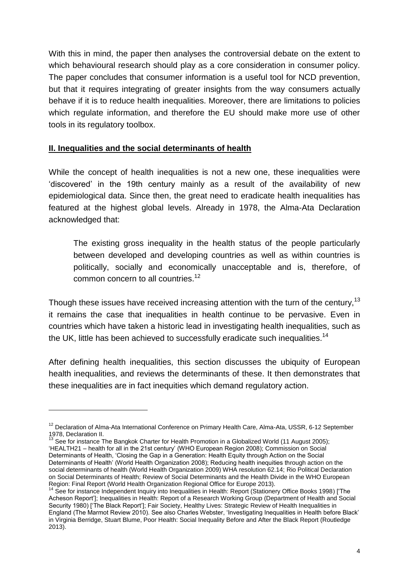With this in mind, the paper then analyses the controversial debate on the extent to which behavioural research should play as a core consideration in consumer policy. The paper concludes that consumer information is a useful tool for NCD prevention, but that it requires integrating of greater insights from the way consumers actually behave if it is to reduce health inequalities. Moreover, there are limitations to policies which regulate information, and therefore the EU should make more use of other tools in its regulatory toolbox.

#### **II. Inequalities and the social determinants of health**

 $\overline{a}$ 

While the concept of health inequalities is not a new one, these inequalities were 'discovered' in the 19th century mainly as a result of the availability of new epidemiological data. Since then, the great need to eradicate health inequalities has featured at the highest global levels. Already in 1978, the Alma-Ata Declaration acknowledged that:

The existing gross inequality in the health status of the people particularly between developed and developing countries as well as within countries is politically, socially and economically unacceptable and is, therefore, of common concern to all countries.<sup>12</sup>

Though these issues have received increasing attention with the turn of the century,<sup>13</sup> it remains the case that inequalities in health continue to be pervasive. Even in countries which have taken a historic lead in investigating health inequalities, such as the UK, little has been achieved to successfully eradicate such inequalities.<sup>14</sup>

After defining health inequalities, this section discusses the ubiquity of European health inequalities, and reviews the determinants of these. It then demonstrates that these inequalities are in fact inequities which demand regulatory action.

<sup>&</sup>lt;sup>12</sup> Declaration of Alma-Ata International Conference on Primary Health Care, Alma-Ata, USSR, 6-12 September 1978, Declaration II.

<sup>13</sup> See for instance The Bangkok Charter for Health Promotion in a Globalized World (11 August 2005); 'HEALTH21 – health for all in the 21st century' (WHO European Region 2008); Commission on Social Determinants of Health, 'Closing the Gap in a Generation: Health Equity through Action on the Social Determinants of Health' (World Health Organization 2008); Reducing health inequities through action on the social determinants of health (World Health Organization 2009) WHA resolution 62.14; Rio Political Declaration on Social Determinants of Health; Review of Social Determinants and the Health Divide in the WHO European Region: Final Report (World Health Organization Regional Office for Europe 2013).

<sup>&</sup>lt;sup>14</sup> See for instance Independent Inquiry into Inequalities in Health: Report (Stationery Office Books 1998) ['The [Acheson Report'\];](http://www.archive.official-documents.co.uk/document/doh/ih/contents.htm) [Inequalities in Health: Report of a Research Working Group \(Department of Health and Social](http://www.sochealth.co.uk/public-health-and-wellbeing/poverty-and-inequality/the-black-report-1980/the-origin-of-the-black-report/dear-david-ennals/)  [Security 1980\) \['The Black Report'\];](http://www.sochealth.co.uk/public-health-and-wellbeing/poverty-and-inequality/the-black-report-1980/the-origin-of-the-black-report/dear-david-ennals/) Fair Society, Healthy Lives: Strategic Review of Health Inequalities in England (The Marmot Review 2010). See also Charles Webster, 'Investigating Inequalities in Health before Black' in Virginia Berridge, Stuart Blume, Poor Health: Social Inequality Before and After the Black Report (Routledge 2013).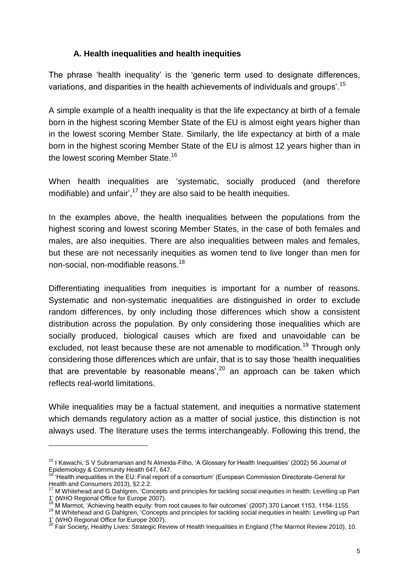#### **A. Health inequalities and health inequities**

The phrase 'health inequality' is the 'generic term used to designate differences, variations, and disparities in the health achievements of individuals and groups'.<sup>15</sup>

A simple example of a health inequality is that the life expectancy at birth of a female born in the highest scoring Member State of the EU is almost eight years higher than in the lowest scoring Member State. Similarly, the life expectancy at birth of a male born in the highest scoring Member State of the EU is almost 12 years higher than in the lowest scoring Member State.<sup>16</sup>

When health inequalities are 'systematic, socially produced (and therefore modifiable) and unfair',<sup>17</sup> they are also said to be health inequities.

In the examples above, the health inequalities between the populations from the highest scoring and lowest scoring Member States, in the case of both females and males, are also inequities. There are also inequalities between males and females, but these are not necessarily inequities as women tend to live longer than men for non-social, non-modifiable reasons.<sup>18</sup>

Differentiating inequalities from inequities is important for a number of reasons. Systematic and non-systematic inequalities are distinguished in order to exclude random differences, by only including those differences which show a consistent distribution across the population. By only considering those inequalities which are socially produced, biological causes which are fixed and unavoidable can be excluded, not least because these are not amenable to modification.<sup>19</sup> Through only considering those differences which are unfair, that is to say those 'health inequalities that are preventable by reasonable means',  $20$  an approach can be taken which reflects real-world limitations.

While inequalities may be a factual statement, and inequities a normative statement which demands regulatory action as a matter of social justice, this distinction is not always used. The literature uses the terms interchangeably. Following this trend, the

<sup>&</sup>lt;sup>15</sup> I Kawachi, S V Subramanian and N Almeida-Filho, 'A Glossary for Health Inequalities' (2002) 56 Journal of Epidemiology & Community Health 647, 647.

<sup>16</sup> 'Health inequalities in the EU: Final report of a consortium' (European Commission Directorate-General for Health and Consumers 2013), §2.2.2.

<sup>&</sup>lt;sup>17</sup> M Whitehead and G Dahlgren, 'Concepts and principles for tackling social inequities in health: Levelling up Part 1' (WHO Regional Office for Europe 2007).

M Marmot, 'Achieving health equity: from root causes to fair outcomes' (2007) 370 Lancet 1153, 1154-1155.

<sup>19</sup> M Whitehead and G Dahlgren, 'Concepts and principles for tackling social inequities in health: Levelling up Part 1' (WHO Regional Office for Europe 2007).

<sup>20</sup> Fair Society, Healthy Lives: Strategic Review of Health Inequalities in England (The Marmot Review 2010), 10.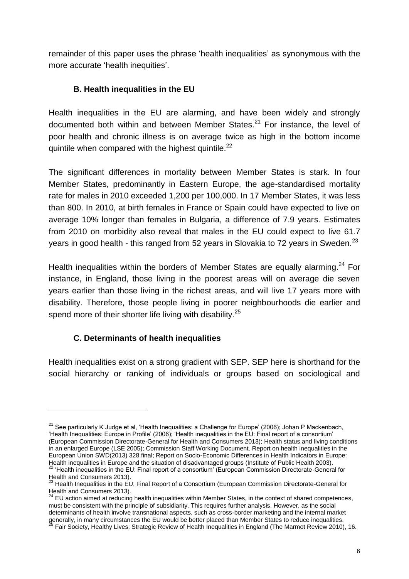remainder of this paper uses the phrase 'health inequalities' as synonymous with the more accurate 'health inequities'.

## **B. Health inequalities in the EU**

Health inequalities in the EU are alarming, and have been widely and strongly documented both within and between Member States.<sup>21</sup> For instance, the level of poor health and chronic illness is on average twice as high in the bottom income quintile when compared with the highest quintile.<sup>22</sup>

The significant differences in mortality between Member States is stark. In four Member States, predominantly in Eastern Europe, the age-standardised mortality rate for males in 2010 exceeded 1,200 per 100,000. In 17 Member States, it was less than 800. In 2010, at birth females in France or Spain could have expected to live on average 10% longer than females in Bulgaria, a difference of 7.9 years. Estimates from 2010 on morbidity also reveal that males in the EU could expect to live 61.7 years in good health - this ranged from 52 years in Slovakia to 72 years in Sweden.<sup>23</sup>

Health inequalities within the borders of Member States are equally alarming.<sup>24</sup> For instance, in England, those living in the poorest areas will on average die seven years earlier than those living in the richest areas, and will live 17 years more with disability. Therefore, those people living in poorer neighbourhoods die earlier and spend more of their shorter life living with disability.<sup>25</sup>

## **C. Determinants of health inequalities**

 $\overline{a}$ 

Health inequalities exist on a strong gradient with SEP. SEP here is shorthand for the social hierarchy or ranking of individuals or groups based on sociological and

 $21$  See particularly K Judge et al, 'Health Inequalities: a Challenge for Europe' (2006); Johan P Mackenbach, 'Health Inequalities: Europe in Profile' (2006); 'Health inequalities in the EU: Final report of a consortium' (European Commission Directorate-General for Health and Consumers 2013); Health status and living conditions in an enlarged Europe (LSE 2005); Commission Staff Working Document. Report on health inequalities in the European Union SWD(2013) 328 final; Report on Socio-Economic Differences in Health Indicators in Europe: Health inequalities in Europe and the situation of disadvantaged groups (Institute of Public Health 2003).  $2$  'Health inequalities in the EU: Final report of a consortium' (European Commission Directorate-General for

Health and Consumers 2013).  $^{23}$  Health Inequalities in the EU: Final Report of a Consortium (European Commission Directorate-General for

Health and Consumers 2013).

 $^{24}$  EU action aimed at reducing health inequalities within Member States, in the context of shared competences, must be consistent with the principle of subsidiarity. This requires further analysis. However, as the social determinants of health involve transnational aspects, such as cross-border marketing and the internal market generally, in many circumstances the EU would be better placed than Member States to reduce inequalities.

<sup>25</sup> Fair Society, Healthy Lives: Strategic Review of Health Inequalities in England (The Marmot Review 2010), 16.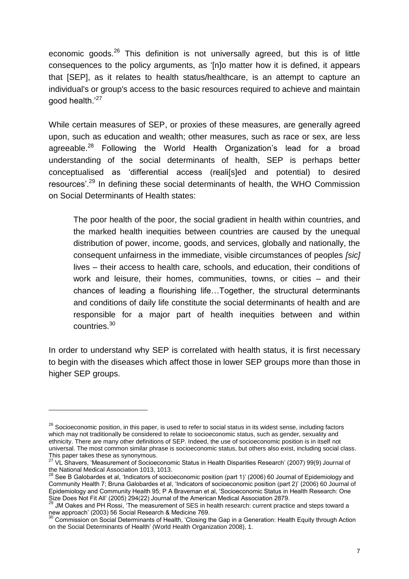economic goods.<sup>26</sup> This definition is not universally agreed, but this is of little consequences to the policy arguments, as '[n]o matter how it is defined, it appears that [SEP], as it relates to health status/healthcare, is an attempt to capture an individual's or group's access to the basic resources required to achieve and maintain good health.'<sup>27</sup>

While certain measures of SEP, or proxies of these measures, are generally agreed upon, such as education and wealth; other measures, such as race or sex, are less agreeable.<sup>28</sup> Following the World Health Organization's lead for a broad understanding of the social determinants of health, SEP is perhaps better conceptualised as 'differential access (reali[s]ed and potential) to desired resources'.<sup>29</sup> In defining these social determinants of health, the WHO Commission on Social Determinants of Health states:

The poor health of the poor, the social gradient in health within countries, and the marked health inequities between countries are caused by the unequal distribution of power, income, goods, and services, globally and nationally, the consequent unfairness in the immediate, visible circumstances of peoples *[sic]* lives – their access to health care, schools, and education, their conditions of work and leisure, their homes, communities, towns, or cities – and their chances of leading a flourishing life…Together, the structural determinants and conditions of daily life constitute the social determinants of health and are responsible for a major part of health inequities between and within countries.<sup>30</sup>

In order to understand why SEP is correlated with health status, it is first necessary to begin with the diseases which affect those in lower SEP groups more than those in higher SEP groups.

<sup>&</sup>lt;sup>26</sup> Socioeconomic position, in this paper, is used to refer to social status in its widest sense, including factors which may not traditionally be considered to relate to socioeconomic status, such as gender, sexuality and ethnicity. There are many other definitions of SEP. Indeed, the use of socioeconomic position is in itself not universal. The most common similar phrase is socioeconomic status, but others also exist, including social class. This paper takes these as synonymous.

<sup>27</sup> VL Shavers, 'Measurement of Socioeconomic Status in Health Disparities Research' (2007) 99(9) Journal of the National Medical Association 1013, 1013.

<sup>&</sup>lt;sup>3</sup> See B Galobardes et al, 'Indicators of socioeconomic position (part 1)' (2006) 60 Journal of Epidemiology and Community Health 7; Bruna Galobardes et al, 'Indicators of socioeconomic position (part 2)' (2006) 60 Journal of Epidemiology and Community Health 95; P A Braveman et al, 'Socioeconomic Status in Health Research: One Size Does Not Fit All' (2005) 294(22) Journal of the American Medical Association 2879.

JM Oakes and PH Rossi, 'The measurement of SES in health research: current practice and steps toward a new approach' (2003) 56 Social Research & Medicine 769.

 $30$  Commission on Social Determinants of Health, 'Closing the Gap in a Generation: Health Equity through Action on the Social Determinants of Health' (World Health Organization 2008), 1.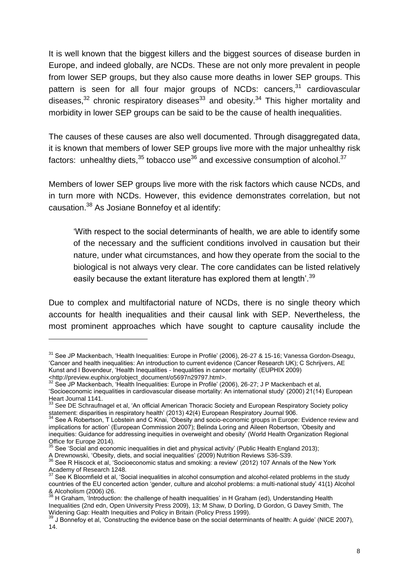It is well known that the biggest killers and the biggest sources of disease burden in Europe, and indeed globally, are NCDs. These are not only more prevalent in people from lower SEP groups, but they also cause more deaths in lower SEP groups. This pattern is seen for all four major groups of NCDs: cancers.<sup>31</sup> cardiovascular diseases, $32$  chronic respiratory diseases  $33$  and obesity.<sup>34</sup> This higher mortality and morbidity in lower SEP groups can be said to be the cause of health inequalities.

The causes of these causes are also well documented. Through disaggregated data, it is known that members of lower SEP groups live more with the major unhealthy risk factors: unhealthy diets.  $35$  tobacco use  $36$  and excessive consumption of alcohol.  $37$ 

Members of lower SEP groups live more with the risk factors which cause NCDs, and in turn more with NCDs. However, this evidence demonstrates correlation, but not causation.<sup>38</sup> As Josiane Bonnefoy et al identify:

'With respect to the social determinants of health, we are able to identify some of the necessary and the sufficient conditions involved in causation but their nature, under what circumstances, and how they operate from the social to the biological is not always very clear. The core candidates can be listed relatively easily because the extant literature has explored them at length'.<sup>39</sup>

Due to complex and multifactorial nature of NCDs, there is no single theory which accounts for health inequalities and their causal link with SEP. Nevertheless, the most prominent approaches which have sought to capture causality include the

<sup>31</sup> See JP Mackenbach, 'Health Inequalities: Europe in Profile' (2006), 26-27 & 15-16; Vanessa Gordon-Dseagu, 'Cancer and health inequalities: An introduction to current evidence (Cancer Research UK); C Schrijvers, AE Kunst and I Bovendeur, 'Health Inequalities - Inequalities in cancer mortality' (EUPHIX 2009) <http://preview.euphix.org/object\_document/o5697n29797.html>.

 $32$  See JP Mackenbach, 'Health Inequalities: Europe in Profile' (2006), 26-27; J P Mackenbach et al, 'Socioeconomic inequalities in cardiovascular disease mortality: An international study' (2000) 21(14) European Heart Journal 1141.

 $33$  See DE Schraufnagel et al, 'An official American Thoracic Society and European Respiratory Society policy statement: disparities in respiratory health' (2013) 42(4) European Respiratory Journal 906.

<sup>&</sup>lt;sup>34</sup> See A Robertson, T Lobstein and C Knai, 'Obesity and socio-economic groups in Europe: Evidence review and implications for action' (European Commission 2007); Belinda Loring and Aileen Robertson, 'Obesity and inequities: Guidance for addressing inequities in overweight and obesity' (World Health Organization Regional Office for Europe 2014).

<sup>&</sup>lt;sup>5</sup> See 'Social and economic inequalities in diet and physical activity' (Public Health England 2013);

A Drewnowski, 'Obesity, diets, and social inequalities' (2009) Nutrition Reviews S36-S39.

 $36$  See R Hiscock et al, 'Socioeconomic status and smoking: a review' (2012) 107 Annals of the New York Academy of Research 1248.

See K Bloomfield et al, 'Social inequalities in alcohol consumption and alcohol-related problems in the study countries of the EU concerted action 'gender, culture and alcohol problems: a multi-national study' 41(1) Alcohol & Alcoholism (2006) i26.

 $38$  H Graham, 'Introduction: the challenge of health inequalities' in H Graham (ed), Understanding Health Inequalities (2nd edn, Open University Press 2009), 13; M Shaw, D Dorling, D Gordon, G Davey Smith, The Widening Gap: Health Inequities and Policy in Britain (Policy Press 1999).

<sup>39</sup> J Bonnefoy et al, 'Constructing the evidence base on the social determinants of health: A guide' (NICE 2007), 14.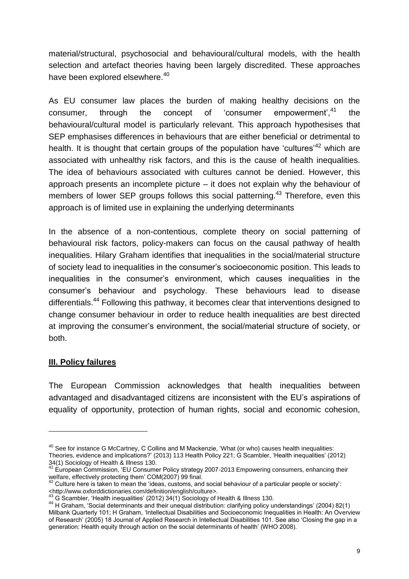material/structural, psychosocial and behavioural/cultural models, with the health selection and artefact theories having been largely discredited. These approaches have been explored elsewhere.<sup>40</sup>

As EU consumer law places the burden of making healthy decisions on the consumer, through the concept of 'consumer empowerment', <sup>41</sup> the behavioural/cultural model is particularly relevant. This approach hypothesises that SEP emphasises differences in behaviours that are either beneficial or detrimental to health. It is thought that certain groups of the population have 'cultures'<sup>42</sup> which are associated with unhealthy risk factors, and this is the cause of health inequalities. The idea of behaviours associated with cultures cannot be denied. However, this approach presents an incomplete picture – it does not explain why the behaviour of members of lower SEP groups follows this social patterning.<sup>43</sup> Therefore, even this approach is of limited use in explaining the underlying determinants

In the absence of a non-contentious, complete theory on social patterning of behavioural risk factors, policy-makers can focus on the causal pathway of health inequalities. Hilary Graham identifies that inequalities in the social/material structure of society lead to inequalities in the consumer's socioeconomic position. This leads to inequalities in the consumer's environment, which causes inequalities in the consumer's behaviour and psychology. These behaviours lead to disease differentials.<sup>44</sup> Following this pathway, it becomes clear that interventions designed to change consumer behaviour in order to reduce health inequalities are best directed at improving the consumer's environment, the social/material structure of society, or both.

#### **III. Policy failures**

 $\overline{a}$ 

The European Commission acknowledges that health inequalities between advantaged and disadvantaged citizens are inconsistent with the EU's aspirations of equality of opportunity, protection of human rights, social and economic cohesion,

<sup>&</sup>lt;sup>40</sup> See for instance G McCartney, C Collins and M Mackenzie, 'What (or who) causes health inequalities: Theories, evidence and implications?' (2013) 113 Health Policy 221; G Scambler, 'Health inequalities' (2012) 34(1) Sociology of Health & Illness 130.

European Commission, 'EU Consumer Policy strategy 2007-2013 Empowering consumers, enhancing their welfare, effectively protecting them' COM(2007) 99 final.

 $42$  Culture here is taken to mean the 'ideas, customs, and social behaviour of a particular people or society': <http://www.oxforddictionaries.com/definition/english/culture>.

 $^{43}$  G Scambler, 'Health inequalities' (2012) 34(1) Sociology of Health & Illness 130.

<sup>44</sup> H Graham, 'Social determinants and their unequal distribution: clarifying policy understandings' (2004) 82(1) Milbank Quarterly 101; H Graham, 'Intellectual Disabilities and Socioeconomic Inequalities in Health: An Overview of Research' (2005) 18 Journal of Applied Research in Intellectual Disabilities 101. See also 'Closing the gap in a generation: Health equity through action on the social determinants of health' (WHO 2008).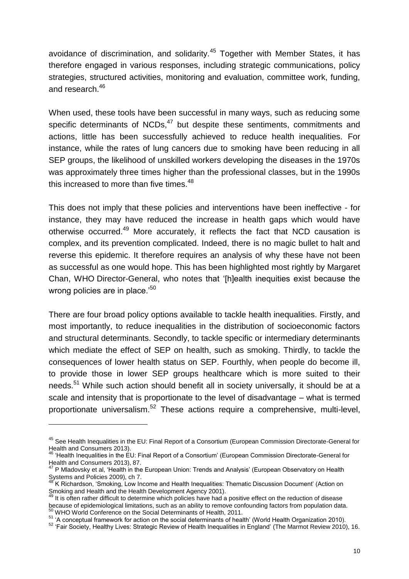avoidance of discrimination, and solidarity.<sup>45</sup> Together with Member States, it has therefore engaged in various responses, including strategic communications, policy strategies, structured activities, monitoring and evaluation, committee work, funding, and research  $46$ 

When used, these tools have been successful in many ways, such as reducing some specific determinants of NCDs, $47$  but despite these sentiments, commitments and actions, little has been successfully achieved to reduce health inequalities. For instance, while the rates of lung cancers due to smoking have been reducing in all SEP groups, the likelihood of unskilled workers developing the diseases in the 1970s was approximately three times higher than the professional classes, but in the 1990s this increased to more than five times.<sup>48</sup>

This does not imply that these policies and interventions have been ineffective - for instance, they may have reduced the increase in health gaps which would have otherwise occurred.<sup>49</sup> More accurately, it reflects the fact that NCD causation is complex, and its prevention complicated. Indeed, there is no magic bullet to halt and reverse this epidemic. It therefore requires an analysis of why these have not been as successful as one would hope. This has been highlighted most rightly by Margaret Chan, WHO Director-General, who notes that '[h]ealth inequities exist because the wrong policies are in place.'<sup>50</sup>

There are four broad policy options available to tackle health inequalities. Firstly, and most importantly, to reduce inequalities in the distribution of socioeconomic factors and structural determinants. Secondly, to tackle specific or intermediary determinants which mediate the effect of SEP on health, such as smoking. Thirdly, to tackle the consequences of lower health status on SEP. Fourthly, when people do become ill, to provide those in lower SEP groups healthcare which is more suited to their needs.<sup>51</sup> While such action should benefit all in society universally, it should be at a scale and intensity that is proportionate to the level of disadvantage – what is termed proportionate universalism.<sup>52</sup> These actions require a comprehensive, multi-level,

<sup>45</sup> See Health Inequalities in the EU: Final Report of a Consortium (European Commission Directorate-General for Health and Consumers 2013).

 $^{\circ}$  'Health Inequalities in the EU: Final Report of a Consortium' (European Commission Directorate-General for Health and Consumers 2013), 87.

P Mladovsky et al, 'Health in the European Union: Trends and Analysis' (European Observatory on Health Systems and Policies 2009), ch 7.

<sup>&</sup>lt;sup>48</sup> K Richardson, 'Smoking, Low Income and Health Inequalities: Thematic Discussion Document' (Action on Smoking and Health and the Health Development Agency 2001).

<sup>&</sup>lt;sup>49</sup> It is often rather difficult to determine which policies have had a positive effect on the reduction of disease because of epidemiological limitations, such as an ability to remove confounding factors from population data. <sup>50</sup> WHO World Conference on the Social Determinants of Health, 2011.

<sup>&</sup>lt;sup>51</sup> 'A conceptual framework for action on the social determinants of health' (World Health Organization 2010).

<sup>&</sup>lt;sup>52</sup> 'Fair Society, Healthy Lives: Strategic Review of Health Inequalities in England' (The Marmot Review 2010), 16.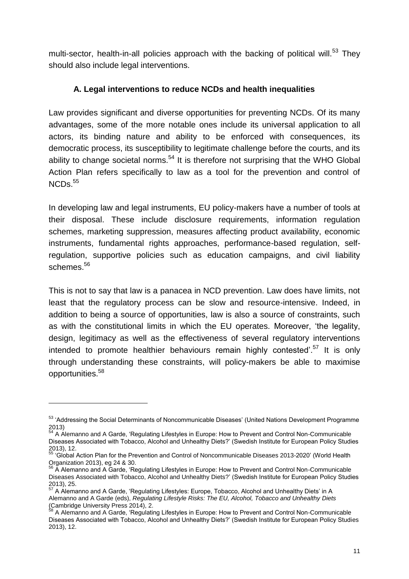multi-sector, health-in-all policies approach with the backing of political will.<sup>53</sup> They should also include legal interventions.

## **A. Legal interventions to reduce NCDs and health inequalities**

Law provides significant and diverse opportunities for preventing NCDs. Of its many advantages, some of the more notable ones include its universal application to all actors, its binding nature and ability to be enforced with consequences, its democratic process, its susceptibility to legitimate challenge before the courts, and its ability to change societal norms. $54$  It is therefore not surprising that the WHO Global Action Plan refers specifically to law as a tool for the prevention and control of  $NCDs.<sup>55</sup>$ 

In developing law and legal instruments, EU policy-makers have a number of tools at their disposal. These include disclosure requirements, information regulation schemes, marketing suppression, measures affecting product availability, economic instruments, fundamental rights approaches, performance-based regulation, selfregulation, supportive policies such as education campaigns, and civil liability schemes.<sup>56</sup>

This is not to say that law is a panacea in NCD prevention. Law does have limits, not least that the regulatory process can be slow and resource-intensive. Indeed, in addition to being a source of opportunities, law is also a source of constraints, such as with the constitutional limits in which the EU operates. Moreover, 'the legality, design, legitimacy as well as the effectiveness of several regulatory interventions intended to promote healthier behaviours remain highly contested'.<sup>57</sup> It is only through understanding these constraints, will policy-makers be able to maximise opportunities.<sup>58</sup>

<sup>&</sup>lt;sup>53</sup> 'Addressing the Social Determinants of Noncommunicable Diseases' (United Nations Development Programme 2013)

<sup>54</sup> A Alemanno and A Garde, 'Regulating Lifestyles in Europe: How to Prevent and Control Non-Communicable Diseases Associated with Tobacco, Alcohol and Unhealthy Diets?' (Swedish Institute for European Policy Studies 2013), 12.

<sup>55</sup> 'Global Action Plan for the Prevention and Control of Noncommunicable Diseases 2013-2020' (World Health Organization 2013), eg 24 & 30.

 $\overline{A}$  Alemanno and A Garde, 'Regulating Lifestyles in Europe: How to Prevent and Control Non-Communicable Diseases Associated with Tobacco, Alcohol and Unhealthy Diets?' (Swedish Institute for European Policy Studies 2013), 25.

A Alemanno and A Garde, 'Regulating Lifestyles: Europe, Tobacco, Alcohol and Unhealthy Diets' in A Alemanno and A Garde (eds), *Regulating Lifestyle Risks: The EU, Alcohol, Tobacco and Unhealthy Diets* (Cambridge University Press 2014), 2.

<sup>&</sup>lt;sup>58</sup> A Alemanno and A Garde, 'Regulating Lifestyles in Europe: How to Prevent and Control Non-Communicable Diseases Associated with Tobacco, Alcohol and Unhealthy Diets?' (Swedish Institute for European Policy Studies 2013), 12.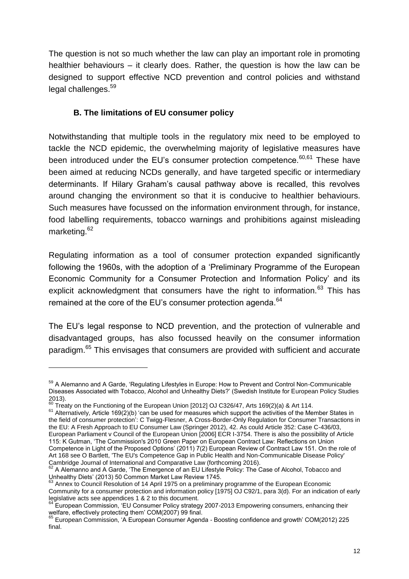The question is not so much whether the law can play an important role in promoting healthier behaviours – it clearly does. Rather, the question is how the law can be designed to support effective NCD prevention and control policies and withstand legal challenges.<sup>59</sup>

## **B. The limitations of EU consumer policy**

Notwithstanding that multiple tools in the regulatory mix need to be employed to tackle the NCD epidemic, the overwhelming majority of legislative measures have been introduced under the EU's consumer protection competence.<sup>60,61</sup> These have been aimed at reducing NCDs generally, and have targeted specific or intermediary determinants. If Hilary Graham's causal pathway above is recalled, this revolves around changing the environment so that it is conducive to healthier behaviours. Such measures have focussed on the information environment through, for instance, food labelling requirements, tobacco warnings and prohibitions against misleading marketing.<sup>62</sup>

Regulating information as a tool of consumer protection expanded significantly following the 1960s, with the adoption of a 'Preliminary Programme of the European Economic Community for a Consumer Protection and Information Policy' and its explicit acknowledgment that consumers have the right to information.<sup>63</sup> This has remained at the core of the EU's consumer protection agenda.<sup>64</sup>

The EU's legal response to NCD prevention, and the protection of vulnerable and disadvantaged groups, has also focussed heavily on the consumer information paradigm.<sup>65</sup> This envisages that consumers are provided with sufficient and accurate

<sup>&</sup>lt;sup>59</sup> A Alemanno and A Garde, 'Regulating Lifestyles in Europe: How to Prevent and Control Non-Communicable Diseases Associated with Tobacco, Alcohol and Unhealthy Diets?' (Swedish Institute for European Policy Studies 2013).

 $^{60}$  Treaty on the Functioning of the European Union [2012] OJ C326/47, Arts 169(2)(a) & Art 114.

<sup>&</sup>lt;sup>61</sup> Alternatively, Article 169(2)(b) 'can be used for measures which support the activities of the Member States in the field of consumer protection': C Twigg-Flesner, A Cross-Border-Only Regulation for Consumer Transactions in the EU: A Fresh Approach to EU Consumer Law (Springer 2012), 42. As could Article 352: Case C-436/03, European Parliament v Council of the European Union [2006] ECR I-3754. There is also the possibility of Article 115: K Gutman, 'The Commission's 2010 Green Paper on European Contract Law: Reflections on Union Competence in Light of the Proposed Options' (2011) 7(2) European Review of Contract Law 151. On the role of Art 168 see O Bartlett, 'The EU's Competence Gap in Public Health and Non-Communicable Disease Policy' Cambridge Journal of International and Comparative Law (forthcoming 2016).

<sup>62</sup> A Alemanno and A Garde, 'The Emergence of an EU Lifestyle Policy: The Case of Alcohol, Tobacco and Unhealthy Diets' (2013) 50 Common Market Law Review 1745.

<sup>&</sup>lt;sup>63</sup> Annex to Council Resolution of 14 April 1975 on a preliminary programme of the European Economic Community for a consumer protection and information policy [1975] OJ C92/1, para 3(d). For an indication of early legislative acts see appendices 1 & 2 to this document.

European Commission, 'EU Consumer Policy strategy 2007-2013 Empowering consumers, enhancing their welfare, effectively protecting them' COM(2007) 99 final.

<sup>65</sup> European Commission, 'A European Consumer Agenda - Boosting confidence and growth' COM(2012) 225 final.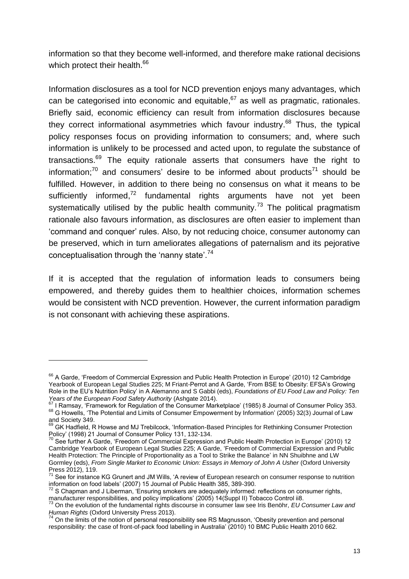information so that they become well-informed, and therefore make rational decisions which protect their health.<sup>66</sup>

Information disclosures as a tool for NCD prevention enjoys many advantages, which can be categorised into economic and equitable, $67$  as well as pragmatic, rationales. Briefly said, economic efficiency can result from information disclosures because they correct informational asymmetries which favour industry.<sup>68</sup> Thus, the typical policy responses focus on providing information to consumers; and, where such information is unlikely to be processed and acted upon, to regulate the substance of transactions.<sup>69</sup> The equity rationale asserts that consumers have the right to information;<sup>70</sup> and consumers' desire to be informed about products<sup>71</sup> should be fulfilled. However, in addition to there being no consensus on what it means to be sufficiently informed,<sup>72</sup> fundamental rights arguments have not yet been systematically utilised by the public health community.<sup>73</sup> The political pragmatism rationale also favours information, as disclosures are often easier to implement than 'command and conquer' rules. Also, by not reducing choice, consumer autonomy can be preserved, which in turn ameliorates allegations of paternalism and its pejorative conceptualisation through the 'nanny state'.<sup>74</sup>

If it is accepted that the regulation of information leads to consumers being empowered, and thereby guides them to healthier choices, information schemes would be consistent with NCD prevention. However, the current information paradigm is not consonant with achieving these aspirations.

<sup>&</sup>lt;sup>66</sup> A Garde, 'Freedom of Commercial Expression and Public Health Protection in Europe' (2010) 12 Cambridge Yearbook of European Legal Studies 225; M Friant-Perrot and A Garde, 'From BSE to Obesity: EFSA's Growing Role in the EU's Nutrition Policy' in A Alemanno and S Gabbi (eds), *Foundations of EU Food Law and Policy: Ten Years of the European Food Safety Authority* (Ashgate 2014).

<sup>67</sup> I Ramsay, 'Framework for Regulation of the Consumer Marketplace' (1985) 8 Journal of Consumer Policy 353. <sup>68</sup> G Howells, 'The Potential and Limits of Consumer Empowerment by Information' (2005) 32(3) Journal of Law and Society 349.

<sup>69</sup> GK Hadfield, R Howse and MJ Trebilcock, 'Information-Based Principles for Rethinking Consumer Protection Policy' (1998) 21 Journal of Consumer Policy 131, 132-134.

See further A Garde, 'Freedom of Commercial Expression and Public Health Protection in Europe' (2010) 12 Cambridge Yearbook of European Legal Studies 225; A Garde, 'Freedom of Commercial Expression and Public Health Protection: The Principle of Proportionality as a Tool to Strike the Balance' in NN Shuibhne and LW Gormley (eds), *From Single Market to Economic Union: Essays in Memory of John A Usher* (Oxford University Press 2012), 119.

 $71$  See for instance KG Grunert and JM Wills, 'A review of European research on consumer response to nutrition information on food labels' (2007) 15 Journal of Public Health 385, 389-390.

 $72$  S Chapman and J Liberman, 'Ensuring smokers are adequately informed: reflections on consumer rights, manufacturer responsibilities, and policy implications' (2005) 14(Suppl II) Tobacco Control ii8.

<sup>73</sup> On the evolution of the fundamental rights discourse in consumer law see Iris Benöhr, *EU Consumer Law and Human Rights* (Oxford University Press 2013).

 $74$  On the limits of the notion of personal responsibility see RS Magnusson, 'Obesity prevention and personal responsibility: the case of front-of-pack food labelling in Australia' (2010) 10 BMC Public Health 2010 662.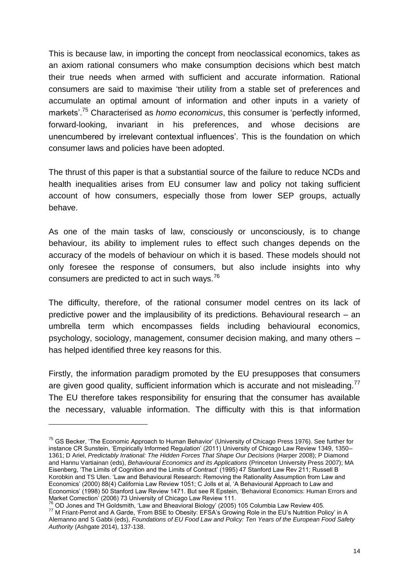This is because law, in importing the concept from neoclassical economics, takes as an axiom rational consumers who make consumption decisions which best match their true needs when armed with sufficient and accurate information. Rational consumers are said to maximise 'their utility from a stable set of preferences and accumulate an optimal amount of information and other inputs in a variety of markets'.<sup>75</sup> Characterised as *homo economicus*, this consumer is 'perfectly informed, forward-looking, invariant in his preferences, and whose decisions are unencumbered by irrelevant contextual influences'. This is the foundation on which consumer laws and policies have been adopted.

The thrust of this paper is that a substantial source of the failure to reduce NCDs and health inequalities arises from EU consumer law and policy not taking sufficient account of how consumers, especially those from lower SEP groups, actually behave.

As one of the main tasks of law, consciously or unconsciously, is to change behaviour, its ability to implement rules to effect such changes depends on the accuracy of the models of behaviour on which it is based. These models should not only foresee the response of consumers, but also include insights into why consumers are predicted to act in such ways. $^{76}$ 

The difficulty, therefore, of the rational consumer model centres on its lack of predictive power and the implausibility of its predictions. Behavioural research – an umbrella term which encompasses fields including behavioural economics, psychology, sociology, management, consumer decision making, and many others – has helped identified three key reasons for this.

Firstly, the information paradigm promoted by the EU presupposes that consumers are given good quality, sufficient information which is accurate and not misleading.<sup>77</sup> The EU therefore takes responsibility for ensuring that the consumer has available the necessary, valuable information. The difficulty with this is that information

<sup>&</sup>lt;sup>75</sup> GS Becker, 'The Economic Approach to Human Behavior' (University of Chicago Press 1976). See further for instance CR Sunstein, 'Empirically Informed Regulation' (2011) University of Chicago Law Review 1349, 1350– 1361; D Ariel, *Predictably Irrational: The Hidden Forces That Shape Our Decisions* (Harper 2008); P Diamond and Hannu Vartiainan (eds), *Behavioural Economics and its Applications* (Princeton University Press 2007); MA Eisenberg, 'The Limits of Cognition and the Limits of Contract' (1995) 47 Stanford Law Rev 211; Russell B Korobkin and TS Ulen. 'Law and Behavioural Research: Removing the Rationality Assumption from Law and Economics' (2000) 88(4) California Law Review 1051; C Jolls et al, 'A Behavioural Approach to Law and Economics' (1998) 50 Stanford Law Review 1471. But see R Epstein, 'Behavioral Economics: Human Errors and Market Correction' (2006) 73 University of Chicago Law Review 111.

 $^{76}$  OD Jones and TH Goldsmith, 'Law and Bheavioral Biology' (2005) 105 Columbia Law Review 405.  $^{77}$  M Friant-Perrot and A Garde, 'From BSE to Obesity: EFSA's Growing Role in the EU's Nutrition Policy' in A Alemanno and S Gabbi (eds), *Foundations of EU Food Law and Policy: Ten Years of the European Food Safety Authority* (Ashgate 2014), 137-138.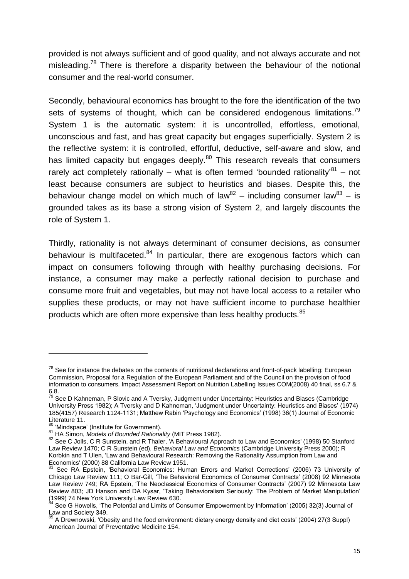provided is not always sufficient and of good quality, and not always accurate and not misleading.<sup>78</sup> There is therefore a disparity between the behaviour of the notional consumer and the real-world consumer.

Secondly, behavioural economics has brought to the fore the identification of the two sets of systems of thought, which can be considered endogenous limitations.<sup>79</sup> System 1 is the automatic system: it is uncontrolled, effortless, emotional, unconscious and fast, and has great capacity but engages superficially. System 2 is the reflective system: it is controlled, effortful, deductive, self-aware and slow, and has limited capacity but engages deeply.<sup>80</sup> This research reveals that consumers rarely act completely rationally – what is often termed 'bounded rationality' $^{81}$  – not least because consumers are subject to heuristics and biases. Despite this, the behaviour change model on which much of law<sup>82</sup> – including consumer law<sup>83</sup> – is grounded takes as its base a strong vision of System 2, and largely discounts the role of System 1.

Thirdly, rationality is not always determinant of consumer decisions, as consumer behaviour is multifaceted. $84$  In particular, there are exogenous factors which can impact on consumers following through with healthy purchasing decisions. For instance, a consumer may make a perfectly rational decision to purchase and consume more fruit and vegetables, but may not have local access to a retailer who supplies these products, or may not have sufficient income to purchase healthier products which are often more expensive than less healthy products.<sup>85</sup>

 $78$  See for instance the debates on the contents of nutritional declarations and front-of-pack labelling: European Commission, Proposal for a Regulation of the European Parliament and of the Council on the provision of food information to consumers. Impact Assessment Report on Nutrition Labelling Issues COM(2008) 40 final, ss 6.7 & 6.8.

<sup>&</sup>lt;sup>79</sup> See D Kahneman, P Slovic and A Tversky, Judgment under Uncertainty: Heuristics and Biases (Cambridge University Press 1982); A Tversky and D Kahneman, 'Judgment under Uncertainty: Heuristics and Biases' (1974) 185(4157) Research 1124-1131; Matthew Rabin 'Psychology and Economics' (1998) 36(1) Journal of Economic Literature 11.

<sup>&</sup>lt;sup>80</sup> 'Mindspace' (Institute for Government).

<sup>81</sup> HA Simon, *Models of Bounded Rationality* (MIT Press 1982).

<sup>82</sup> See C Jolls, C R Sunstein, and R Thaler, 'A Behavioural Approach to Law and Economics' (1998) 50 Stanford Law Review 1470; C R Sunstein (ed), *Behavioral Law and Economics* (Cambridge University Press 2000); R Korbkin and T Ulen, 'Law and Behavioural Research: Removing the Rationality Assumption from Law and Economics' (2000) 88 California Law Review 1951.

See RA Epstein, 'Behavioral Economics: Human Errors and Market Corrections' (2006) 73 University of Chicago Law Review 111; O Bar-Gill, 'The Behavioral Economics of Consumer Contracts' (2008) 92 Minnesota Law Review 749; RA Epstein, 'The Neoclassical Economics of Consumer Contracts' (2007) 92 Minnesota Law Review 803; JD Hanson and DA Kysar, 'Taking Behavioralism Seriously: The Problem of Market Manipulation' (1999) 74 New York University Law Review 630.

See G Howells, 'The Potential and Limits of Consumer Empowerment by Information' (2005) 32(3) Journal of Law and Society 349.

<sup>&</sup>lt;sup>85</sup> A Drewnowski, 'Obesity and the food environment: dietary energy density and diet costs' (2004) 27(3 Suppl) American Journal of Preventative Medicine 154.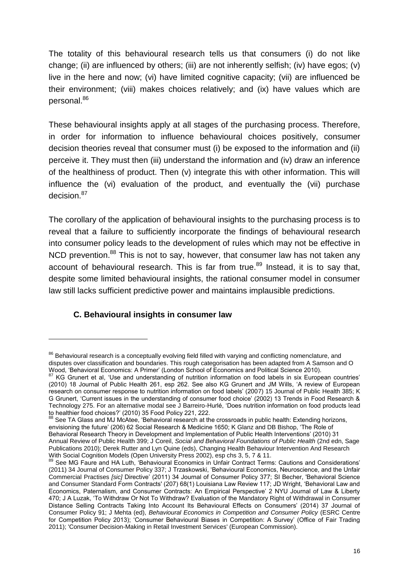The totality of this behavioural research tells us that consumers (i) do not like change; (ii) are influenced by others; (iii) are not inherently selfish; (iv) have egos; (v) live in the here and now; (vi) have limited cognitive capacity; (vii) are influenced be their environment; (viii) makes choices relatively; and (ix) have values which are personal.<sup>86</sup>

These behavioural insights apply at all stages of the purchasing process. Therefore, in order for information to influence behavioural choices positively, consumer decision theories reveal that consumer must (i) be exposed to the information and (ii) perceive it. They must then (iii) understand the information and (iv) draw an inference of the healthiness of product. Then (v) integrate this with other information. This will influence the (vi) evaluation of the product, and eventually the (vii) purchase decision.<sup>87</sup>

The corollary of the application of behavioural insights to the purchasing process is to reveal that a failure to sufficiently incorporate the findings of behavioural research into consumer policy leads to the development of rules which may not be effective in NCD prevention.<sup>88</sup> This is not to say, however, that consumer law has not taken any account of behavioural research. This is far from true.<sup>89</sup> Instead, it is to say that, despite some limited behavioural insights, the rational consumer model in consumer law still lacks sufficient predictive power and maintains implausible predictions.

## **C. Behavioural insights in consumer law**

 $\overline{a}$ 

88 See TA Glass and MJ McAtee, 'Behavioral research at the crossroads in public health: Extending horizons, envisioning the future' (206) 62 Social Research & Medicine 1650; K Glanz and DB Bishop, 'The Role of Behavioral Research Theory in Development and Implementation of Public Health Interventions' (2010) 31 Annual Review of Public Health 399; J Coreil, *Social and Behavioral Foundations of Public Health* (2nd edn, Sage Publications 2010); Derek Rutter and Lyn Quine (eds), Changing Health Behaviour Intervention And Research With Social Cognition Models (Open University Press 2002), esp chs 3, 5, 7 & 11.

<sup>&</sup>lt;sup>86</sup> Behavioural research is a conceptually evolving field filled with varying and conflicting nomenclature, and disputes over classification and boundaries. This rough categorisation has been adapted from A Samson and O Wood, 'Behavioral Economics: A Primer' (London School of Economics and Political Science 2010).

 $87$  KG Grunert et al, 'Use and understanding of nutrition information on food labels in six European countries' (2010) 18 Journal of Public Health 261, esp 262. See also KG Grunert and JM Wills, 'A review of European research on consumer response to nutrition information on food labels' (2007) 15 Journal of Public Health 385; K G Grunert, 'Current issues in the understanding of consumer food choice' (2002) 13 Trends in Food Research & Technology 275. For an alternative modal see J Barreiro-Hurlé, 'Does nutrition information on food products lead to healthier food choices?' (2010) 35 Food Policy 221, 222.

<sup>89</sup> See MG Faure and HA Luth, 'Behavioural Economics in Unfair Contract Terms: Cautions and Considerations' (2011) 34 Journal of Consumer Policy 337; J Trzaskowski, 'Behavioural Economics, Neuroscience, and the Unfair Commercial Practises *[sic]* Directive' (2011) 34 Journal of Consumer Policy 377; SI Becher, 'Behavioral Science and Consumer Standard Form Contracts' (207) 68(1) Louisiana Law Review 117; JD Wright, 'Behavioral Law and Economics, Paternalism, and Consumer Contracts: An Empirical Perspective' 2 NYU Journal of Law & Liberty 470; J A Luzak, 'To Withdraw Or Not To Withdraw? Evaluation of the Mandatory Right of Withdrawal in Consumer Distance Selling Contracts Taking Into Account Its Behavioural Effects on Consumers' (2014) 37 Journal of Consumer Policy 91; J Mehta (ed), *Behavioural Economics in Competition and Consumer Policy* (ESRC Centre for Competition Policy 2013); 'Consumer Behavioural Biases in Competition: A Survey' (Office of Fair Trading 2011); 'Consumer Decision-Making in Retail Investment Services' (European Commission).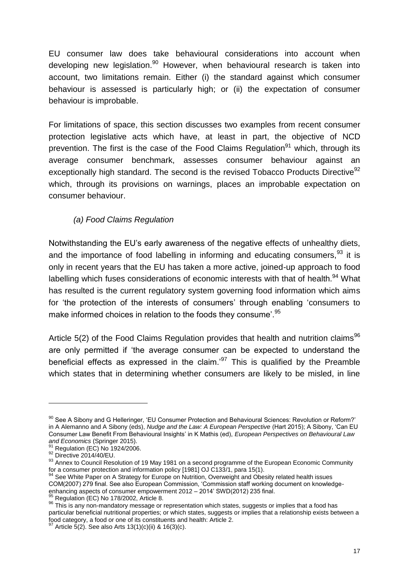EU consumer law does take behavioural considerations into account when developing new legislation. $90$  However, when behavioural research is taken into account, two limitations remain. Either (i) the standard against which consumer behaviour is assessed is particularly high; or (ii) the expectation of consumer behaviour is improbable.

For limitations of space, this section discusses two examples from recent consumer protection legislative acts which have, at least in part, the objective of NCD prevention. The first is the case of the Food Claims Regulation<sup>91</sup> which, through its average consumer benchmark, assesses consumer behaviour against an exceptionally high standard. The second is the revised Tobacco Products Directive<sup>92</sup> which, through its provisions on warnings, places an improbable expectation on consumer behaviour.

#### *(a) Food Claims Regulation*

Notwithstanding the EU's early awareness of the negative effects of unhealthy diets, and the importance of food labelling in informing and educating consumers.  $93$  it is only in recent years that the EU has taken a more active, joined-up approach to food labelling which fuses considerations of economic interests with that of health. $94$  What has resulted is the current regulatory system governing food information which aims for 'the protection of the interests of consumers' through enabling 'consumers to make informed choices in relation to the foods they consume'.<sup>95</sup>

Article  $5(2)$  of the Food Claims Regulation provides that health and nutrition claims<sup>96</sup> are only permitted if 'the average consumer can be expected to understand the beneficial effects as expressed in the claim.<sup>97</sup> This is qualified by the Preamble which states that in determining whether consumers are likely to be misled, in line

 $90$  See A Sibony and G Helleringer, 'EU Consumer Protection and Behavioural Sciences: Revolution or Reform?' in A Alemanno and A Sibony (eds), *Nudge and the Law: A European Perspective* (Hart 2015); A Sibony, 'Can EU Consumer Law Benefit From Behavioural Insights' in K Mathis (ed), *European Perspectives on Behavioural Law and Economics* (Springer 2015).

 $^1$  Regulation (EC) No 1924/2006.

<sup>92</sup> Directive 2014/40/EU.

<sup>93</sup> Annex to Council Resolution of 19 May 1981 on a second programme of the European Economic Community for a consumer protection and information policy [1981] OJ C133/1, para 15(1).

See White Paper on A Strategy for Europe on Nutrition, Overweight and Obesity related health issues COM(2007) 279 final. See also European Commission, 'Commission staff working document on knowledgeenhancing aspects of consumer empowerment 2012 – 2014' SWD(2012) 235 final.

 $95$  Regulation (EC) No 178/2002, Article 8.

 $^{96}$  This is any non-mandatory message or representation which states, suggests or implies that a food has particular beneficial nutritional properties; or which states, suggests or implies that a relationship exists between a food category, a food or one of its constituents and health: Article 2.

<sup>97</sup> Article 5(2). See also Arts 13(1)(c)(ii) & 16(3)(c).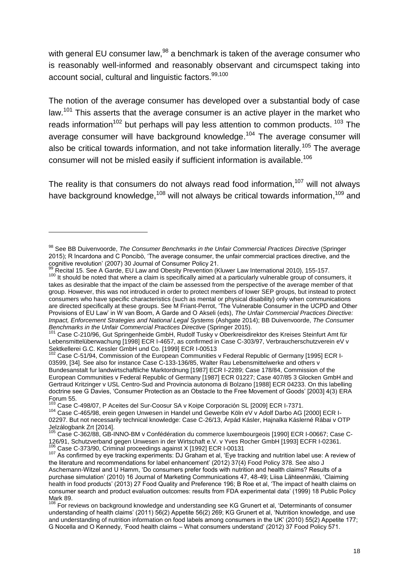with general EU consumer law, <sup>98</sup> a benchmark is taken of the average consumer who is reasonably well-informed and reasonably observant and circumspect taking into account social, cultural and linguistic factors.<sup>99,100</sup>

The notion of the average consumer has developed over a substantial body of case law.<sup>101</sup> This asserts that the average consumer is an active player in the market who reads information<sup>102</sup> but perhaps will pay less attention to common products.  $103$  The average consumer will have background knowledge.<sup>104</sup> The average consumer will also be critical towards information, and not take information literally,  $105$  The average consumer will not be misled easily if sufficient information is available.<sup>106</sup>

The reality is that consumers do not always read food information.<sup>107</sup> will not always have background knowledge,<sup>108</sup> will not always be critical towards information,<sup>109</sup> and

<sup>98</sup> See BB Duivenvoorde, *The Consumer Benchmarks in the Unfair Commercial Practices Directive* (Springer 2015); R Incardona and C Poncibò, 'The average consumer, the unfair commercial practices directive, and the cognitive revolution' (2007) 30 Journal of Consumer Policy 21.

Recital 15. See A Garde, EU Law and Obesity Prevention (Kluwer Law International 2010), 155-157.

<sup>100</sup> It should be noted that where a claim is specifically aimed at a particularly vulnerable group of consumers, it takes as desirable that the impact of the claim be assessed from the perspective of the average member of that group. However, this was not introduced in order to protect members of lower SEP groups, but instead to protect consumers who have specific characteristics (such as mental or physical disability) only when communications are directed specifically at these groups. See M Friant-Perrot, 'The Vulnerable Consumer in the UCPD and Other Provisions of EU Law' in W van Boom, A Garde and O Akseli (eds), *The Unfair Commercial Practices Directive: Impact, Enforcement Strategies and National Legal Systems* (Ashgate 2014); BB Duivenvoorde, *The Consumer Benchmarks in the Unfair Commercial Practices Directive* (Springer 2015).

<sup>&</sup>lt;sup>101</sup> Case C-210/96, Gut Springenheide GmbH, Rudolf Tusky v Oberkreisdirektor des Kreises Steinfurt Amt für Lebensmittelüberwachung [1998] ECR I-4657, as confirmed in Case C-303/97, Verbraucherschutzverein eV v Sektkellerei G.C. Kessler GmbH und Co. [1999] ECR I-00513

 $12$  Case C-51/94, Commission of the European Communities v Federal Republic of Germany [1995] ECR I-03599, [34]. See also for instance Case C*-*133-136/85, Walter Rau Lebensmittelwerke and others v Bundesanstalt fur landwirtschaftliche Marktordnung [1987] ECR I-2289; Case 178/84, Commission of the European Communities v Federal Republic of Germany [1987] ECR 01227; Case 407/85 3 Glocken GmbH and Gertraud Kritzinger v USL Centro-Sud and Provincia autonoma di Bolzano [1988] ECR 04233. On this labelling doctrine see G Davies, 'Consumer Protection as an Obstacle to the Free Movement of Goods' [2003] 4(3) ERA Forum 55.

<sup>103</sup> Case C-498/07, P Aceites del Sur-Coosur SA v Koipe Corporación SL [2009] ECR I-7371.

<sup>104</sup> Case C-465/98, erein gegen Unwesen in Handel und Gewerbe Köln eV v Adolf Darbo AG [2000] ECR I-02297. But not necessarily technical knowledge: Case C-26/13, Árpád Kásler, Hajnalka Káslerné Rábai v OTP Jelzálogbank Zrt [2014].

<sup>105</sup> Case C-362/88, GB-INNO-BM v Confédération du commerce luxembourgeois [1990] ECR I-00667; Case C-126/91, Schutzverband gegen Unwesen in der Wirtschaft e.V. v Yves Rocher GmbH [1993] ECFR I-02361. <sup>106</sup> Case C-373/90, Criminal proceedings against X [1992] ECR I-00131

<sup>107</sup> As confirmed by eye tracking experiments: DJ Graham et al, 'Eye tracking and nutrition label use: A review of the literature and recommendations for label enhancement' (2012) 37(4) Food Policy 378. See also J Aschemann-Witzel and U Hamm, 'Do consumers prefer foods with nutrition and health claims? Results of a purchase simulation' (2010) 16 Journal of Marketing Communications 47, 48-49; Liisa Lähteenmäki, 'Claiming health in food products' (2013) 27 Food Quality and Preference 196; B Roe et al, 'The impact of health claims on consumer search and product evaluation outcomes: results from FDA experimental data' (1999) 18 Public Policy Mark 89.

For reviews on background knowledge and understanding see KG Grunert et al, 'Determinants of consumer understanding of health claims' (2011) 56(2) Appetite 56(2) 269; KG Grunert et al, 'Nutrition knowledge, and use and understanding of nutrition information on food labels among consumers in the UK' (2010) 55(2) Appetite 177; G Nocella and O Kennedy, 'Food health claims – What consumers understand' (2012) 37 Food Policy 571.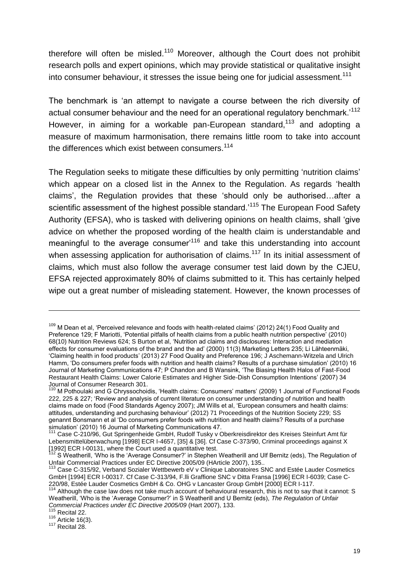therefore will often be misled.<sup>110</sup> Moreover, although the Court does not prohibit research polls and expert opinions, which may provide statistical or qualitative insight into consumer behaviour, it stresses the issue being one for judicial assessment.<sup>111</sup>

The benchmark is 'an attempt to navigate a course between the rich diversity of actual consumer behaviour and the need for an operational regulatory benchmark.<sup>112</sup> However, in aiming for a workable pan-European standard,<sup>113</sup> and adopting a measure of maximum harmonisation, there remains little room to take into account the differences which exist between consumers.<sup>114</sup>

The Regulation seeks to mitigate these difficulties by only permitting 'nutrition claims' which appear on a closed list in the Annex to the Regulation. As regards 'health claims', the Regulation provides that these 'should only be authorised…after a scientific assessment of the highest possible standard.<sup>115</sup> The European Food Safety Authority (EFSA), who is tasked with delivering opinions on health claims, shall 'give advice on whether the proposed wording of the health claim is understandable and meaningful to the average consumer<sup>116</sup> and take this understanding into account when assessing application for authorisation of claims.<sup>117</sup> In its initial assessment of claims, which must also follow the average consumer test laid down by the CJEU, EFSA rejected approximately 80% of claims submitted to it. This has certainly helped wipe out a great number of misleading statement. However, the known processes of

 $\overline{a}$ 

 $116$  Article 16(3).

<sup>&</sup>lt;sup>109</sup> M Dean et al, 'Perceived relevance and foods with health-related claims' (2012) 24(1) Food Quality and Preference 129; F Mariotti, 'Potential pitfalls of health claims from a public health nutrition perspective' (2010) 68(10) Nutrition Reviews 624; S Burton et al, 'Nutrition ad claims and disclosures: Interaction and mediation effects for consumer evaluations of the brand and the ad' (2000) 11(3) Marketing Letters 235; Li Lähteenmäki, 'Claiming health in food products' (2013) 27 Food Quality and Preference 196; J Aschemann-Witzela and Ulrich Hamm, 'Do consumers prefer foods with nutrition and health claims? Results of a purchase simulation' (2010) 16 Journal of Marketing Communications 47; P Chandon and B Wansink, 'The Biasing Health Halos of Fast-Food Restaurant Health Claims: Lower Calorie Estimates and Higher Side-Dish Consumption Intentions' (2007) 34 Journal of Consumer Research 301.

<sup>&</sup>lt;sup>110</sup> M Pothoulaki and G Chryssochoidis, 'Health claims: Consumers' matters' (2009) 1 Journal of Functional Foods 222, 225 & 227; 'Review and analysis of current literature on consumer understanding of nutrition and health claims made on food (Food Standards Agency 2007); JM Wills et al, 'European consumers and health claims: attitudes, understanding and purchasing behaviour' (2012) 71 Proceedings of the Nutrition Society 229; SS genannt Bonsmann et al 'Do consumers prefer foods with nutrition and health claims? Results of a purchase simulation' (2010) 16 Journal of Marketing Communications 47.

Case C-210/96, Gut Springenheide GmbH, Rudolf Tusky v Oberkreisdirektor des Kreises Steinfurt Amt für Lebensmittelüberwachung [1998] ECR I-4657, [35] & [36]. Cf Case C-373/90, Criminal proceedings against X [1992] ECR I-00131, where the Court used a quantitative test.

<sup>&</sup>lt;sup>112</sup> S Weatherill, 'Who is the 'Average Consumer?' in Stephen Weatherill and Ulf Bernitz (eds), The Regulation of Unfair Commercial Practices under EC Directive 2005/09 (HArticle 2007), 135..

 $16$  Case C-315/92, Verband Sozialer Wettbewerb eV v Clinique Laboratoires SNC and Estée Lauder Cosmetics GmbH [1994] ECR I-00317. Cf Case C-313/94, F.lli Graffione SNC v Ditta Fransa [1996] ECR I-6039; Case C-220/98, Estée Lauder Cosmetics GmbH & Co. OHG v Lancaster Group GmbH [2000] ECR I-117.

 $114$  Although the case law does not take much account of behavioural research, this is not to say that it cannot: S Weatherill, 'Who is the 'Average Consumer?' in S Weatherill and U Bernitz (eds), *The Regulation of Unfair Commercial Practices under EC Directive 2005/09* (Hart 2007), 133.

 $115$  Recital 22.

 $117$  Recital 28.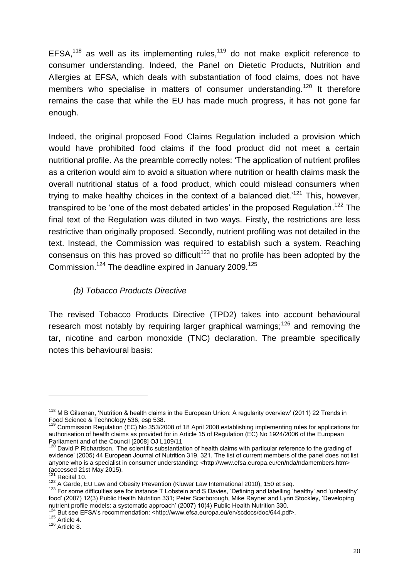$EFSA<sub>118</sub>$  as well as its implementing rules,<sup>119</sup> do not make explicit reference to consumer understanding. Indeed, the Panel on Dietetic Products, Nutrition and Allergies at EFSA, which deals with substantiation of food claims, does not have members who specialise in matters of consumer understanding.<sup>120</sup> It therefore remains the case that while the EU has made much progress, it has not gone far enough.

Indeed, the original proposed Food Claims Regulation included a provision which would have prohibited food claims if the food product did not meet a certain nutritional profile. As the preamble correctly notes: 'The application of nutrient profiles as a criterion would aim to avoid a situation where nutrition or health claims mask the overall nutritional status of a food product, which could mislead consumers when trying to make healthy choices in the context of a balanced diet.<sup>'121</sup> This, however, transpired to be 'one of the most debated articles' in the proposed Regulation.<sup>122</sup> The final text of the Regulation was diluted in two ways. Firstly, the restrictions are less restrictive than originally proposed. Secondly, nutrient profiling was not detailed in the text. Instead, the Commission was required to establish such a system. Reaching consensus on this has proved so difficult<sup>123</sup> that no profile has been adopted by the Commission.<sup>124</sup> The deadline expired in January 2009.<sup>125</sup>

#### *(b) Tobacco Products Directive*

The revised Tobacco Products Directive (TPD2) takes into account behavioural research most notably by requiring larger graphical warnings;<sup>126</sup> and removing the tar, nicotine and carbon monoxide (TNC) declaration. The preamble specifically notes this behavioural basis:

<sup>&</sup>lt;sup>118</sup> M B Gilsenan, 'Nutrition & health claims in the European Union: A regularity overview' (2011) 22 Trends in Food Science & Technology 536, esp 538.

Commission Regulation (EC) No 353/2008 of 18 April 2008 establishing implementing rules for applications for authorisation of health claims as provided for in Article 15 of Regulation (EC) No 1924/2006 of the European Parliament and of the Council [2008] OJ L109/11

<sup>&</sup>lt;sup>120</sup> David P Richardson, 'The scientific substantiation of health claims with particular reference to the grading of evidence' (2005) 44 European Journal of Nutrition 319, 321. The list of current members of the panel does not list anyone who is a specialist in consumer understanding: <http://www.efsa.europa.eu/en/nda/ndamembers.htm> (accessed 21st May 2015).

Recital 10.

<sup>122</sup> A Garde, EU Law and Obesity Prevention (Kluwer Law International 2010), 150 et seq.

<sup>123</sup> For some difficulties see for instance T Lobstein and S Davies, 'Defining and labelling 'healthy' and 'unhealthy' food' (2007) 12(3) Public Health Nutrition 331; Peter Scarborough, Mike Rayner and Lynn Stockley, 'Developing nutrient profile models: a systematic approach' (2007) 10(4) Public Health Nutrition 330.

But see EFSA's recommendation: <http://www.efsa.europa.eu/en/scdocs/doc/644.pdf>.

 $125$  Article 4.

 $126$  Article 8.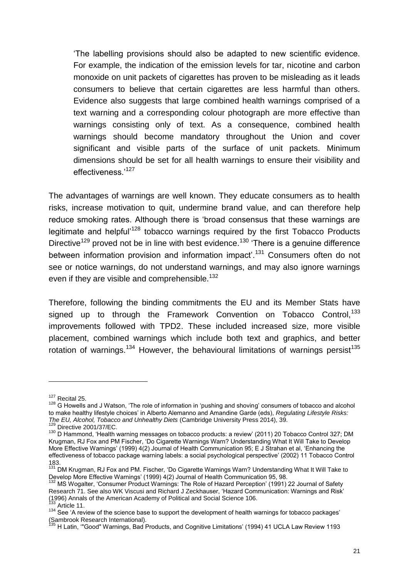'The labelling provisions should also be adapted to new scientific evidence. For example, the indication of the emission levels for tar, nicotine and carbon monoxide on unit packets of cigarettes has proven to be misleading as it leads consumers to believe that certain cigarettes are less harmful than others. Evidence also suggests that large combined health warnings comprised of a text warning and a corresponding colour photograph are more effective than warnings consisting only of text. As a consequence, combined health warnings should become mandatory throughout the Union and cover significant and visible parts of the surface of unit packets. Minimum dimensions should be set for all health warnings to ensure their visibility and effectiveness.'<sup>127</sup>

The advantages of warnings are well known. They educate consumers as to health risks, increase motivation to quit, undermine brand value, and can therefore help reduce smoking rates. Although there is 'broad consensus that these warnings are legitimate and helpful<sup>-128</sup> tobacco warnings required by the first Tobacco Products Directive<sup>129</sup> proved not be in line with best evidence.<sup>130</sup> 'There is a genuine difference between information provision and information impact'.<sup>131</sup> Consumers often do not see or notice warnings, do not understand warnings, and may also ignore warnings even if they are visible and comprehensible.<sup>132</sup>

Therefore, following the binding commitments the EU and its Member Stats have signed up to through the Framework Convention on Tobacco Control,<sup>133</sup> improvements followed with TPD2. These included increased size, more visible placement, combined warnings which include both text and graphics, and better rotation of warnings.<sup>134</sup> However, the behavioural limitations of warnings persist<sup>135</sup>

<sup>127</sup> Recital 25.

<sup>&</sup>lt;sup>128</sup> G Howells and J Watson. 'The role of information in 'pushing and shoving' consumers of tobacco and alcohol to make healthy lifestyle choices' in Alberto Alemanno and Amandine Garde (eds), *Regulating Lifestyle Risks: The EU, Alcohol, Tobacco and Unhealthy Diets* (Cambridge University Press 2014), 39.

Directive 2001/37/EC.

<sup>130</sup> D Hammond, 'Health warning messages on tobacco products: a review' (2011) 20 Tobacco Control 327; DM Krugman, RJ Fox and PM Fischer, 'Do Cigarette Warnings Warn? Understanding What It Will Take to Develop More Effective Warnings' (1999) 4(2) Journal of Health Communication 95; E J Strahan et al, 'Enhancing the effectiveness of tobacco package warning labels: a social psychological perspective' (2002) 11 Tobacco Control 183.

<sup>&</sup>lt;sup>131</sup> DM Krugman, RJ Fox and PM. Fischer, 'Do Cigarette Warnings Warn? Understanding What It Will Take to Develop More Effective Warnings' (1999) 4(2) Journal of Health Communication 95, 98.

<sup>132</sup> MS Wogalter, 'Consumer Product Warnings: The Role of Hazard Perception' (1991) 22 Journal of Safety Research 71. See also WK Viscusi and Richard J Zeckhauser, 'Hazard Communication: Warnings and Risk' (1996) Annals of the American Academy of Political and Social Science 106.  $133$  Article 11.

 $134$  See 'A review of the science base to support the development of health warnings for tobacco packages' (Sambrook Research International).

<sup>&</sup>lt;sup>135</sup> H Latin, "'Good" Warnings, Bad Products, and Cognitive Limitations' (1994) 41 UCLA Law Review 1193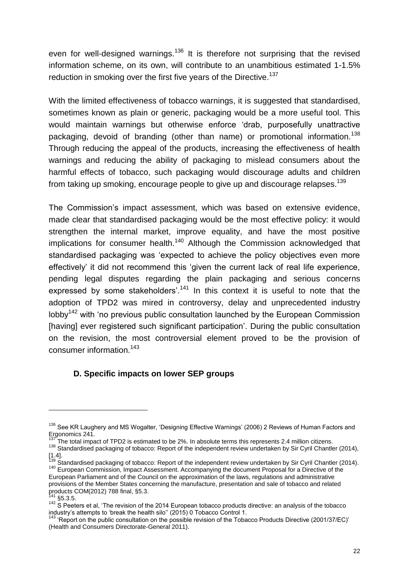even for well-designed warnings.<sup>136</sup> It is therefore not surprising that the revised information scheme, on its own, will contribute to an unambitious estimated 1-1.5% reduction in smoking over the first five years of the Directive.<sup>137</sup>

With the limited effectiveness of tobacco warnings, it is suggested that standardised, sometimes known as plain or generic, packaging would be a more useful tool. This would maintain warnings but otherwise enforce 'drab, purposefully unattractive packaging, devoid of branding (other than name) or promotional information.<sup>138</sup> Through reducing the appeal of the products, increasing the effectiveness of health warnings and reducing the ability of packaging to mislead consumers about the harmful effects of tobacco, such packaging would discourage adults and children from taking up smoking, encourage people to give up and discourage relapses.<sup>139</sup>

The Commission's impact assessment, which was based on extensive evidence, made clear that standardised packaging would be the most effective policy: it would strengthen the internal market, improve equality, and have the most positive implications for consumer health.<sup>140</sup> Although the Commission acknowledged that standardised packaging was 'expected to achieve the policy objectives even more effectively' it did not recommend this 'given the current lack of real life experience, pending legal disputes regarding the plain packaging and serious concerns expressed by some stakeholders'.<sup>141</sup> In this context it is useful to note that the adoption of TPD2 was mired in controversy, delay and unprecedented industry lobby<sup>142</sup> with 'no previous public consultation launched by the European Commission [having] ever registered such significant participation'. During the public consultation on the revision, the most controversial element proved to be the provision of consumer information.<sup>143</sup>

#### **D. Specific impacts on lower SEP groups**

<sup>&</sup>lt;sup>136</sup> See KR Laughery and MS Wogalter, 'Designing Effective Warnings' (2006) 2 Reviews of Human Factors and Ergonomics 241.

 $137$  The total impact of TPD2 is estimated to be 2%. In absolute terms this represents 2.4 million citizens.

<sup>&</sup>lt;sup>138</sup> Standardised packaging of tobacco: Report of the independent review undertaken by Sir Cyril Chantler (2014),  $[1.4]$ .

<sup>1.&</sup>lt;br>Standardised packaging of tobacco: Report of the independent review undertaken by Sir Cyril Chantler (2014). <sup>140</sup> European Commission, Impact Assessment. Accompanying the document Proposal for a Directive of the European Parliament and of the Council on the approximation of the laws, regulations and administrative provisions of the Member States concerning the manufacture, presentation and sale of tobacco and related products COM(2012) 788 final, §5.3.

 $141$  §5.3.5.

 $142$  S Peeters et al, 'The revision of the 2014 European tobacco products directive: an analysis of the tobacco industry's attempts to 'break the health silo'' (2015) 0 Tobacco Control 1.

<sup>&</sup>lt;sup>143</sup> 'Report on the public consultation on the possible revision of the Tobacco Products Directive (2001/37/EC)' (Health and Consumers Directorate-General 2011).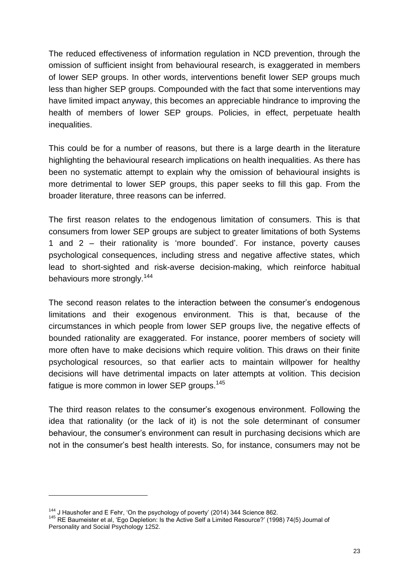The reduced effectiveness of information regulation in NCD prevention, through the omission of sufficient insight from behavioural research, is exaggerated in members of lower SEP groups. In other words, interventions benefit lower SEP groups much less than higher SEP groups. Compounded with the fact that some interventions may have limited impact anyway, this becomes an appreciable hindrance to improving the health of members of lower SEP groups. Policies, in effect, perpetuate health inequalities.

This could be for a number of reasons, but there is a large dearth in the literature highlighting the behavioural research implications on health inequalities. As there has been no systematic attempt to explain why the omission of behavioural insights is more detrimental to lower SEP groups, this paper seeks to fill this gap. From the broader literature, three reasons can be inferred.

The first reason relates to the endogenous limitation of consumers. This is that consumers from lower SEP groups are subject to greater limitations of both Systems 1 and 2 – their rationality is 'more bounded'. For instance, poverty causes psychological consequences, including stress and negative affective states, which lead to short-sighted and risk-averse decision-making, which reinforce habitual behaviours more strongly.<sup>144</sup>

The second reason relates to the interaction between the consumer's endogenous limitations and their exogenous environment. This is that, because of the circumstances in which people from lower SEP groups live, the negative effects of bounded rationality are exaggerated. For instance, poorer members of society will more often have to make decisions which require volition. This draws on their finite psychological resources, so that earlier acts to maintain willpower for healthy decisions will have detrimental impacts on later attempts at volition. This decision fatigue is more common in lower SEP groups.<sup>145</sup>

The third reason relates to the consumer's exogenous environment. Following the idea that rationality (or the lack of it) is not the sole determinant of consumer behaviour, the consumer's environment can result in purchasing decisions which are not in the consumer's best health interests. So, for instance, consumers may not be

<sup>&</sup>lt;sup>144</sup> J Haushofer and E Fehr, 'On the psychology of poverty' (2014) 344 Science 862.

<sup>145</sup> RE Baumeister et al, 'Ego Depletion: Is the Active Self a Limited Resource?' (1998) 74(5) Journal of Personality and Social Psychology 1252.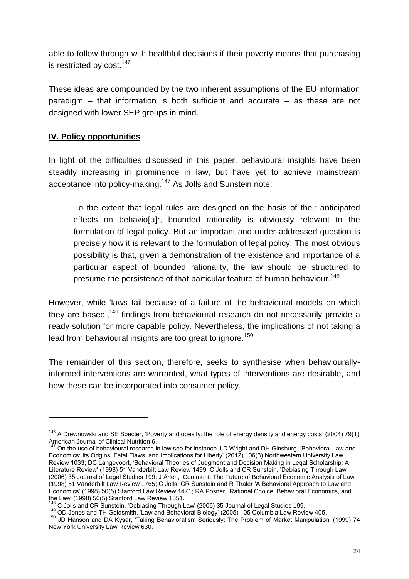able to follow through with healthful decisions if their poverty means that purchasing is restricted by cost.<sup>146</sup>

These ideas are compounded by the two inherent assumptions of the EU information paradigm – that information is both sufficient and accurate – as these are not designed with lower SEP groups in mind.

## **IV. Policy opportunities**

 $\overline{a}$ 

In light of the difficulties discussed in this paper, behavioural insights have been steadily increasing in prominence in law, but have yet to achieve mainstream acceptance into policy-making.<sup>147</sup> As Jolls and Sunstein note:

To the extent that legal rules are designed on the basis of their anticipated effects on behavio[u]r, bounded rationality is obviously relevant to the formulation of legal policy. But an important and under-addressed question is precisely how it is relevant to the formulation of legal policy. The most obvious possibility is that, given a demonstration of the existence and importance of a particular aspect of bounded rationality, the law should be structured to presume the persistence of that particular feature of human behaviour.<sup>148</sup>

However, while 'laws fail because of a failure of the behavioural models on which they are based',<sup>149</sup> findings from behavioural research do not necessarily provide a ready solution for more capable policy. Nevertheless, the implications of not taking a lead from behavioural insights are too great to ignore.<sup>150</sup>

The remainder of this section, therefore, seeks to synthesise when behaviourallyinformed interventions are warranted, what types of interventions are desirable, and how these can be incorporated into consumer policy.

 $146$  A Drewnowski and SE Specter, 'Poverty and obesity: the role of energy density and energy costs' (2004) 79(1) American Journal of Clinical Nutrition 6.

 $147$  On the use of behavioural research in law see for instance J D Wright and DH Ginsburg, 'Behavioral Law and Economics: Its Origins, Fatal Flaws, and Implications for Liberty' (2012) 106(3) Northwestern University Law Review 1033; DC Langevoort, 'Behavioral Theories of Judgment and Decision Making in Legal Scholarship: A Literature Review' (1998) 51 Vanderbilt Law Review 1499; C Jolls and CR Sunstein, 'Debiasing Through Law' (2006) 35 Journal of Legal Studies 199; J Arlen, 'Comment: The Future of Behavioral Economic Analysis of Law' (1998) 51 Vanderbilt Law Review 1765; C Jolls, CR Sunstein and R Thaler 'A Behavioral Approach to Law and Economics' (1998) 50(5) Stanford Law Review 1471; RA Posner, 'Rational Choice, Behavioral Economics, and the Law' (1998) 50(5) Stanford Law Review 1551.

<sup>&</sup>lt;sup>148</sup> C Jolls and CR Sunstein, 'Debiasing Through Law' (2006) 35 Journal of Legal Studies 199.

<sup>&</sup>lt;sup>149</sup> OD Jones and TH Goldsmith, 'Law and Behavioral Biology' (2005) 105 Columbia Law Review 405.

<sup>150</sup> JD Hanson and DA Kysar, 'Taking Behavioralism Seriously: The Problem of Market Manipulation' (1999) 74 New York University Law Review 630.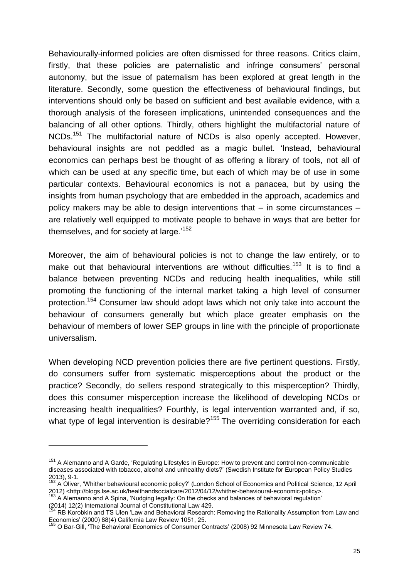Behaviourally-informed policies are often dismissed for three reasons. Critics claim, firstly, that these policies are paternalistic and infringe consumers' personal autonomy, but the issue of paternalism has been explored at great length in the literature. Secondly, some question the effectiveness of behavioural findings, but interventions should only be based on sufficient and best available evidence, with a thorough analysis of the foreseen implications, unintended consequences and the balancing of all other options. Thirdly, others highlight the multifactorial nature of NCDs.<sup>151</sup> The multifactorial nature of NCDs is also openly accepted. However, behavioural insights are not peddled as a magic bullet. 'Instead, behavioural economics can perhaps best be thought of as offering a library of tools, not all of which can be used at any specific time, but each of which may be of use in some particular contexts. Behavioural economics is not a panacea, but by using the insights from human psychology that are embedded in the approach, academics and policy makers may be able to design interventions that – in some circumstances – are relatively well equipped to motivate people to behave in ways that are better for themselves, and for society at large.'<sup>152</sup>

Moreover, the aim of behavioural policies is not to change the law entirely, or to make out that behavioural interventions are without difficulties.<sup>153</sup> It is to find a balance between preventing NCDs and reducing health inequalities, while still promoting the functioning of the internal market taking a high level of consumer protection.<sup>154</sup> Consumer law should adopt laws which not only take into account the behaviour of consumers generally but which place greater emphasis on the behaviour of members of lower SEP groups in line with the principle of proportionate universalism.

When developing NCD prevention policies there are five pertinent questions. Firstly, do consumers suffer from systematic misperceptions about the product or the practice? Secondly, do sellers respond strategically to this misperception? Thirdly, does this consumer misperception increase the likelihood of developing NCDs or increasing health inequalities? Fourthly, is legal intervention warranted and, if so, what type of legal intervention is desirable?<sup>155</sup> The overriding consideration for each

<sup>&</sup>lt;sup>151</sup> A Alemanno and A Garde, 'Regulating Lifestyles in Europe: How to prevent and control non-communicable diseases associated with tobacco, alcohol and unhealthy diets?' (Swedish Institute for European Policy Studies 2013), 9-1.

<sup>&</sup>lt;sup>152</sup> A Oliver, 'Whither behavioural economic policy?' (London School of Economics and Political Science, 12 April 2012) <http://blogs.lse.ac.uk/healthandsocialcare/2012/04/12/whither-behavioural-economic-policy>.

<sup>&</sup>lt;sup>153</sup> A Alemanno and A Spina, 'Nudging legally: On the checks and balances of behavioral regulation' (2014) 12(2) International Journal of Constitutional Law 429.

<sup>&</sup>lt;sup>154</sup> RB Korobkin and TS Ulen 'Law and Behavioral Research: Removing the Rationality Assumption from Law and Economics' (2000) 88(4) California Law Review 1051, 25.

<sup>&</sup>lt;sup>155</sup> O Bar-Gill, 'The Behavioral Economics of Consumer Contracts' (2008) 92 Minnesota Law Review 74.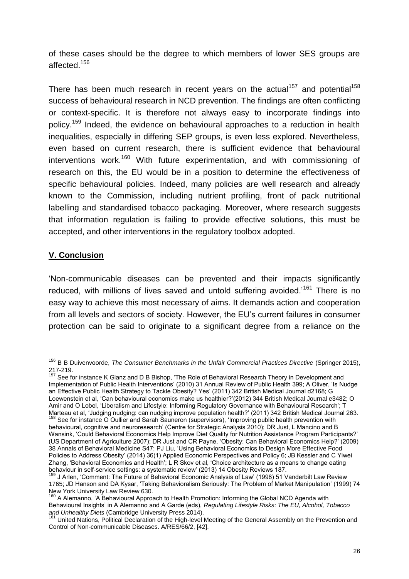of these cases should be the degree to which members of lower SES groups are affected.<sup>156</sup>

There has been much research in recent vears on the actual<sup>157</sup> and potential<sup>158</sup> success of behavioural research in NCD prevention. The findings are often conflicting or context-specific. It is therefore not always easy to incorporate findings into policy.<sup>159</sup> Indeed, the evidence on behavioural approaches to a reduction in health inequalities, especially in differing SEP groups, is even less explored. Nevertheless, even based on current research, there is sufficient evidence that behavioural interventions work.<sup>160</sup> With future experimentation, and with commissioning of research on this, the EU would be in a position to determine the effectiveness of specific behavioural policies. Indeed, many policies are well research and already known to the Commission, including nutrient profiling, front of pack nutritional labelling and standardised tobacco packaging. Moreover, where research suggests that information regulation is failing to provide effective solutions, this must be accepted, and other interventions in the regulatory toolbox adopted.

#### **V. Conclusion**

 $\overline{a}$ 

'Non-communicable diseases can be prevented and their impacts significantly reduced, with millions of lives saved and untold suffering avoided.<sup>161</sup> There is no easy way to achieve this most necessary of aims. It demands action and cooperation from all levels and sectors of society. However, the EU's current failures in consumer protection can be said to originate to a significant degree from a reliance on the

<sup>156</sup> B B Duivenvoorde, *The Consumer Benchmarks in the Unfair Commercial Practices Directive* (Springer 2015), 217-219.

<sup>&</sup>lt;sup>157</sup> See for instance K Glanz and D B Bishop, 'The Role of Behavioral Research Theory in Development and Implementation of Public Health Interventions' (2010) 31 Annual Review of Public Health 399; A Oliver, 'Is Nudge an Effective Public Health Strategy to Tackle Obesity? Yes' (2011) 342 British Medical Journal d2168; G Loewenstein et al, 'Can behavioural economics make us healthier?'(2012) 344 British Medical Journal e3482; O Amir and O Lobel, 'Liberalism and Lifestyle: Informing Regulatory Governance with Behavioural Research'; T Marteau et al, 'Judging nudging: can nudging improve population health?' (2011) 342 British Medical Journal 263.

<sup>&</sup>lt;sup>158</sup> See for instance O Oullier and Sarah Sauneron (supervisors), 'Improving public health prevention with behavioural, cognitive and neuroresearch' (Centre for Strategic Analysis 2010); DR Just, L Mancino and B Wansink, 'Could Behavioral Economics Help Improve Diet Quality for Nutrition Assistance Program Participants?' (US Department of Agriculture 2007); DR Just and CR Payne, 'Obesity: Can Behavioral Economics Help?' (2009) 38 Annals of Behavioral Medicine S47; PJ Liu, 'Using Behavioral Economics to Design More Effective Food Policies to Address Obesity' (2014) 36(1) Applied Economic Perspectives and Policy 6; JB Kessler and C Yiwei Zhang, 'Behavioral Economics and Health'; L R Skov et al, 'Choice architecture as a means to change eating behaviour in self-service settings: a systematic review' (2013) 14 Obesity Reviews 187.

<sup>&</sup>lt;sup>1</sup> J Arlen, 'Comment: The Future of Behavioral Economic Analysis of Law' (1998) 51 Vanderbilt Law Review 1765; JD Hanson and DA Kysar, 'Taking Behavioralism Seriously: The Problem of Market Manipulation' (1999) 74 New York University Law Review 630.

<sup>&</sup>lt;sup>160</sup> A Alemanno, 'A Behavioural Approach to Health Promotion: Informing the Global NCD Agenda with Behavioural Insights' in A Alemanno and A Garde (eds), *Regulating Lifestyle Risks: The EU, Alcohol, Tobacco and Unhealthy Diets* (Cambridge University Press 2014).

<sup>&</sup>lt;sup>161</sup> United Nations, Political Declaration of the High-level Meeting of the General Assembly on the Prevention and Control of Non-communicable Diseases. A/RES/66/2, [42].